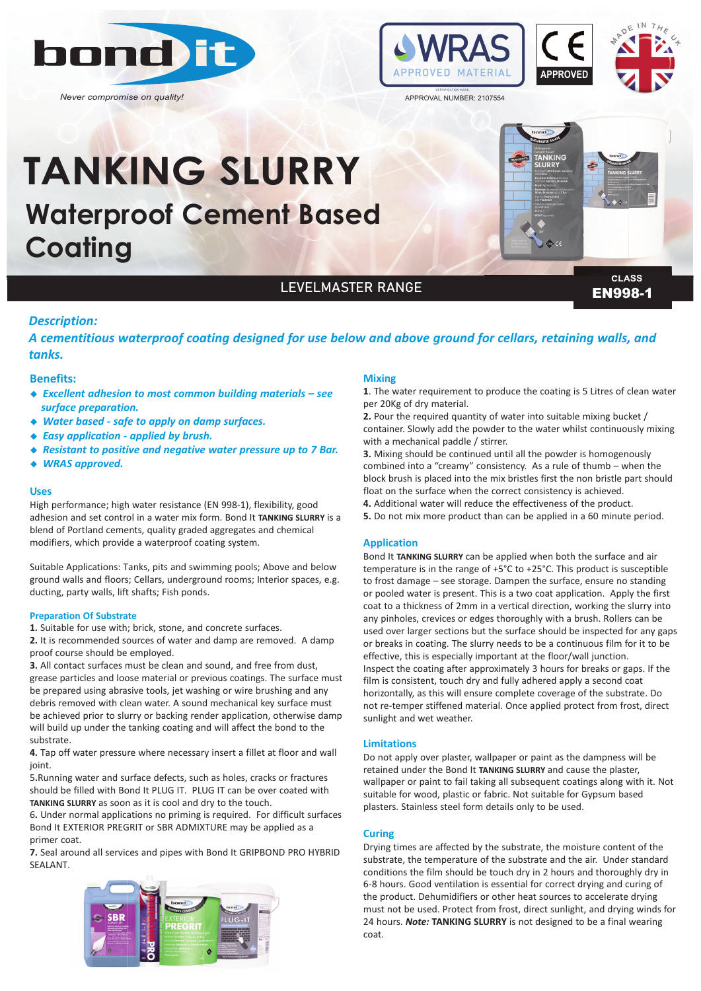

*Never compromise on quality!*



**ANKIN**<br>SLIDPY

# **Waterproof Cement Based Coating TANKING SLURRY**

**CLASS**

## LEVELMASTER RANGE

**EN998-1** 

## *Description:*

*A cementitious waterproof coating designed for use below and above ground for cellars, retaining walls, and tanks.*

#### **Benefits:**

- ◆ *Excellent adhesion to most common building materials see surface preparation.*
- ◆ Water based safe to apply on damp surfaces.
- ◆ *Easy application applied by brush.*
- ◆ *Resistant to positive and negative water pressure up to 7 Bar.*
- ◆ *WRAS approved.*

#### **Uses**

High performance; high water resistance (EN 998-1), flexibility, good adhesion and set control in a water mix form. Bond It **TANKING SLURRY** is a blend of Portland cements, quality graded aggregates and chemical modifiers, which provide a waterproof coating system.

Suitable Applications: Tanks, pits and swimming pools; Above and below ground walls and floors; Cellars, underground rooms; Interior spaces, e.g. ducting, party walls, lift shafts; Fish ponds.

#### **Preparation Of Substrate**

**1.** Suitable for use with; brick, stone, and concrete surfaces.

**2.** It is recommended sources of water and damp are removed. A damp proof course should be employed.

**3.** All contact surfaces must be clean and sound, and free from dust, grease particles and loose material or previous coatings. The surface must be prepared using abrasive tools, jet washing or wire brushing and any debris removed with clean water. A sound mechanical key surface must be achieved prior to slurry or backing render application, otherwise damp will build up under the tanking coating and will affect the bond to the substrate.

**4.** Tap off water pressure where necessary insert a fillet at floor and wall joint.

5**.**Running water and surface defects, such as holes, cracks or fractures should be filled with Bond It PLUG IT. PLUG IT can be over coated with **TANKING SLURRY** as soon as it is cool and dry to the touch.

6**.** Under normal applications no priming is required. For difficult surfaces Bond It EXTERIOR PREGRIT or SBR ADMIXTURE may be applied as a primer coat.

**7.** Seal around all services and pipes with Bond It GRIPBOND PRO HYBRID SEALANT.



#### **Mixing**

**1**. The water requirement to produce the coating is 5 Litres of clean water per 20Kg of dry material.

**2.** Pour the required quantity of water into suitable mixing bucket / container. Slowly add the powder to the water whilst continuously mixing with a mechanical paddle / stirrer.

**3.** Mixing should be continued until all the powder is homogenously combined into a "creamy" consistency. As a rule of thumb – when the block brush is placed into the mix bristles first the non bristle part should float on the surface when the correct consistency is achieved.

- **4.** Additional water will reduce the effectiveness of the product.
- **5.** Do not mix more product than can be applied in a 60 minute period.

#### **Application**

Bond It **TANKING SLURRY** can be applied when both the surface and air temperature is in the range of +5°C to +25°C. This product is susceptible to frost damage – see storage. Dampen the surface, ensure no standing or pooled water is present. This is a two coat application. Apply the first coat to a thickness of 2mm in a vertical direction, working the slurry into any pinholes, crevices or edges thoroughly with a brush. Rollers can be used over larger sections but the surface should be inspected for any gaps or breaks in coating. The slurry needs to be a continuous film for it to be effective, this is especially important at the floor/wall junction. Inspect the coating after approximately 3 hours for breaks or gaps. If the film is consistent, touch dry and fully adhered apply a second coat horizontally, as this will ensure complete coverage of the substrate. Do not re-temper stiffened material. Once applied protect from frost, direct sunlight and wet weather.

#### **Limitations**

Do not apply over plaster, wallpaper or paint as the dampness will be retained under the Bond It **TANKING SLURRY** and cause the plaster, wallpaper or paint to fail taking all subsequent coatings along with it. Not suitable for wood, plastic or fabric. Not suitable for Gypsum based plasters. Stainless steel form details only to be used.

#### **Curing**

Drying times are affected by the substrate, the moisture content of the substrate, the temperature of the substrate and the air. Under standard conditions the film should be touch dry in 2 hours and thoroughly dry in 6-8 hours. Good ventilation is essential for correct drying and curing of the product. Dehumidifiers or other heat sources to accelerate drying must not be used. Protect from frost, direct sunlight, and drying winds for 24 hours. *Note:* **TANKING SLURRY** is not designed to be a final wearing coat.